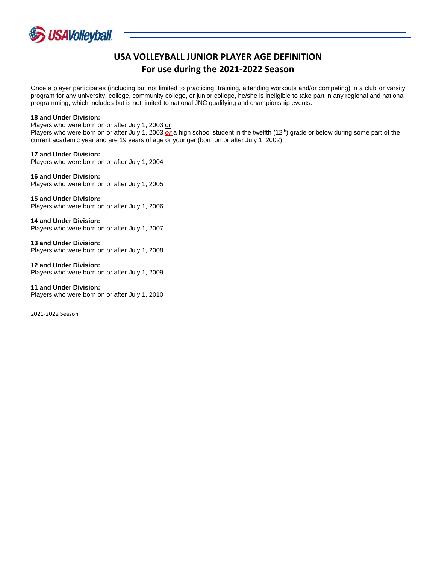

## **USA VOLLEYBALL JUNIOR PLAYER AGE DEFINITION For use during the 2021-2022 Season**

Once a player participates (including but not limited to practicing, training, attending workouts and/or competing) in a club or varsity program for any university, college, community college, or junior college, he/she is ineligible to take part in any regional and national programming, which includes but is not limited to national JNC qualifying and championship events.

## **18 and Under Division:**

Players who were born on or after July 1, 2003 or Players who were born on or after July 1, 2003 *or* a high school student in the twelfth (12<sup>th</sup>) grade or below during some part of the current academic year and are 19 years of age or younger (born on or after July 1, 2002)

**17 and Under Division:** Players who were born on or after July 1, 2004

**16 and Under Division:** Players who were born on or after July 1, 2005

**15 and Under Division:** Players who were born on or after July 1, 2006

**14 and Under Division:** Players who were born on or after July 1, 2007

**13 and Under Division:** Players who were born on or after July 1, 2008

**12 and Under Division:** Players who were born on or after July 1, 2009

**11 and Under Division:** Players who were born on or after July 1, 2010

2021-2022 Season